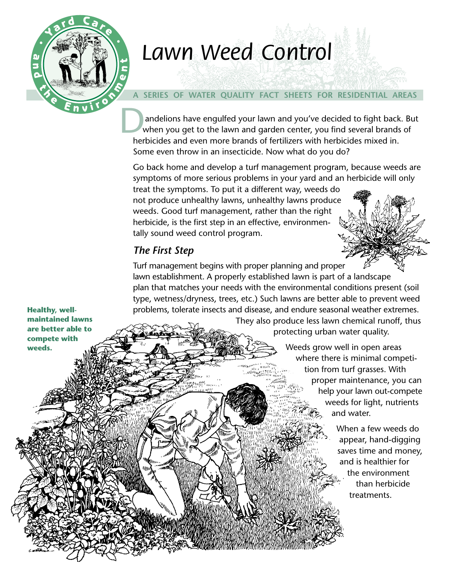

# *Lawn Weed Control Lawn Weed Control*

## **A SERIES OF WATER QUALITY FACT SHEETS FOR RESIDENTIAL AREAS**

D<sub>v</sub> andelions have engulfed your lawn and you've decided to fight back. But when you get to the lawn and garden center, you find several brands of herbicides and even more brands of fertilizers with herbicides mixed in. Some even throw in an insecticide. Now what do you do?

Go back home and develop a turf management program, because weeds are symptoms of more serious problems in your yard and an herbicide will only

treat the symptoms. To put it a different way, weeds do not produce unhealthy lawns, unhealthy lawns produce weeds. Good turf management, rather than the right herbicide, is the first step in an effective, environmentally sound weed control program.

## *The First Step*

Turf management begins with proper planning and proper lawn establishment. A properly established lawn is part of a landscape plan that matches your needs with the environmental conditions present (soil type, wetness/dryness, trees, etc.) Such lawns are better able to prevent weed problems, tolerate insects and disease, and endure seasonal weather extremes.

**Healthy, wellmaintained lawns are better able to compete with weeds.**

They also produce less lawn chemical runoff, thus protecting urban water quality.

> Weeds grow well in open areas where there is minimal competition from turf grasses. With proper maintenance, you can help your lawn out-compete weeds for light, nutrients and water.

> > When a few weeds do appear, hand-digging saves time and money, and is healthier for the environment than herbicide treatments.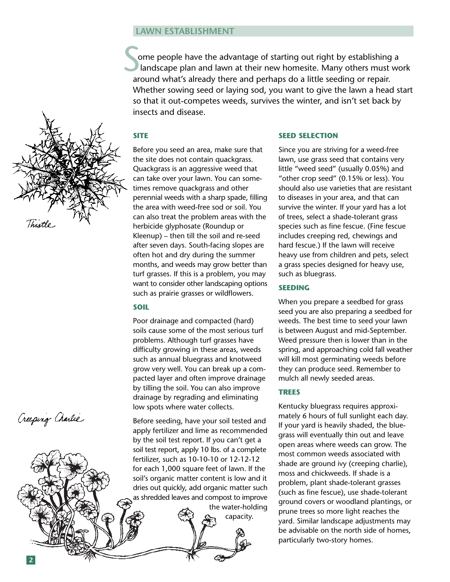#### **LAWN ESTABLISHMENT**

ome people have the advantage of starting out right by establishing a landscape plan and lawn at their new homesite. Many others must work around what's already there and perhaps do a little seeding or repair. Whether sowing seed or laying sod, you want to give the lawn a head start so that it out-competes weeds, survives the winter, and isn't set back by insects and disease. S<sub>S</sub>

#### **SITE**



Creeping Charlie

Before you seed an area, make sure that the site does not contain quackgrass. Quackgrass is an aggressive weed that can take over your lawn. You can sometimes remove quackgrass and other perennial weeds with a sharp spade, filling the area with weed-free sod or soil. You can also treat the problem areas with the herbicide glyphosate (Roundup or Kleenup) – then till the soil and re-seed after seven days. South-facing slopes are often hot and dry during the summer months, and weeds may grow better than turf grasses. If this is a problem, you may want to consider other landscaping options such as prairie grasses or wildflowers.

#### **SOIL**

Poor drainage and compacted (hard) soils cause some of the most serious turf problems. Although turf grasses have difficulty growing in these areas, weeds such as annual bluegrass and knotweed grow very well. You can break up a compacted layer and often improve drainage by tilling the soil. You can also improve drainage by regrading and eliminating low spots where water collects.

Before seeding, have your soil tested and apply fertilizer and lime as recommended by the soil test report. If you can't get a soil test report, apply 10 lbs. of a complete fertilizer, such as 10-10-10 or 12-12-12 for each 1,000 square feet of lawn. If the soil's organic matter content is low and it dries out quickly, add organic matter such as shredded leaves and compost to improve the water-holding

capacity.

#### **SEED SELECTION**

Since you are striving for a weed-free lawn, use grass seed that contains very little "weed seed" (usually 0.05%) and "other crop seed" (0.15% or less). You should also use varieties that are resistant to diseases in your area, and that can survive the winter. If your yard has a lot of trees, select a shade-tolerant grass species such as fine fescue. (Fine fescue includes creeping red, chewings and hard fescue.) If the lawn will receive heavy use from children and pets, select a grass species designed for heavy use, such as bluegrass.

#### **SEEDING**

When you prepare a seedbed for grass seed you are also preparing a seedbed for weeds. The best time to seed your lawn is between August and mid-September. Weed pressure then is lower than in the spring, and approaching cold fall weather will kill most germinating weeds before they can produce seed. Remember to mulch all newly seeded areas.

#### **TREES**

Kentucky bluegrass requires approximately 6 hours of full sunlight each day. If your yard is heavily shaded, the bluegrass will eventually thin out and leave open areas where weeds can grow. The most common weeds associated with shade are ground ivy (creeping charlie), moss and chickweeds. If shade is a problem, plant shade-tolerant grasses (such as fine fescue), use shade-tolerant ground covers or woodland plantings, or prune trees so more light reaches the yard. Similar landscape adjustments may be advisable on the north side of homes, particularly two-story homes.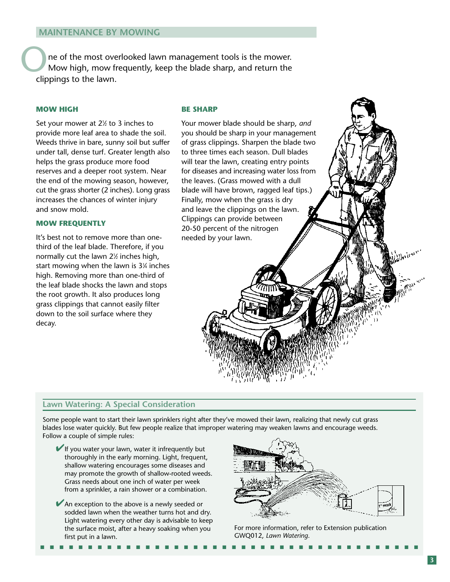ne of the most overlooked lawn management tools is the mower. Mow high, mow frequently, keep the blade sharp, and return the clippings to the lawn.

#### **MOW HIGH**

Set your mower at 2<sup>1/2</sup> to 3 inches to provide more leaf area to shade the soil. Weeds thrive in bare, sunny soil but suffer under tall, dense turf. Greater length also helps the grass produce more food reserves and a deeper root system. Near the end of the mowing season, however, cut the grass shorter (2 inches). Long grass increases the chances of winter injury and snow mold.

#### **MOW FREQUENTLY**

It's best not to remove more than onethird of the leaf blade. Therefore, if you normally cut the lawn  $2\%$  inches high, start mowing when the lawn is 31 ⁄4 inches high. Removing more than one-third of the leaf blade shocks the lawn and stops the root growth. It also produces long grass clippings that cannot easily filter down to the soil surface where they decay.

#### **BE SHARP**

Your mower blade should be sharp, *and* you should be sharp in your management of grass clippings. Sharpen the blade two to three times each season. Dull blades will tear the lawn, creating entry points for diseases and increasing water loss from the leaves. (Grass mowed with a dull blade will have brown, ragged leaf tips.) Finally, mow when the grass is dry and leave the clippings on the lawn. Clippings can provide between 20-50 percent of the nitrogen needed by your lawn.

#### **Lawn Watering: A Special Consideration**

Some people want to start their lawn sprinklers right after they've mowed their lawn, realizing that newly cut grass blades lose water quickly. But few people realize that improper watering may weaken lawns and encourage weeds. Follow a couple of simple rules:

■ ■ ■ ■ ■ ■ ■ ■ ■ ■ ■ ■ ■ ■ ■ ■ ■ ■ ■ ■ ■ ■ ■ ■ ■ ■ ■ ■ ■ ■ ■ ■ ■ ■ ■ ■ ■ ■ ■ ■

- $\blacktriangleright$  If you water your lawn, water it infrequently but thoroughly in the early morning. Light, frequent, shallow watering encourages some diseases and may promote the growth of shallow-rooted weeds. Grass needs about one inch of water per week from a sprinkler, a rain shower or a combination.
- ◆ An exception to the above is a newly seeded or sodded lawn when the weather turns hot and dry. Light watering every other day is advisable to keep the surface moist, after a heavy soaking when you first put in a lawn.



For more information, refer to Extension publication GWQ012, *Lawn Watering*.

Albaitone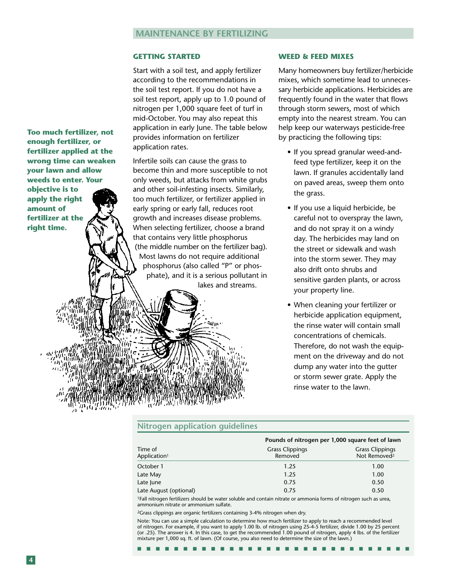#### **GETTING STARTED**

Start with a soil test, and apply fertilizer according to the recommendations in the soil test report. If you do not have a soil test report, apply up to 1.0 pound of nitrogen per 1,000 square feet of turf in mid-October. You may also repeat this application in early June. The table below provides information on fertilizer application rates.

Infertile soils can cause the grass to become thin and more susceptible to not only weeds, but attacks from white grubs and other soil-infesting insects. Similarly, too much fertilizer, or fertilizer applied in early spring or early fall, reduces root growth and increases disease problems. When selecting fertilizer, choose a brand that contains very little phosphorus (the middle number on the fertilizer bag). Most lawns do not require additional phosphorus (also called "P" or phosphate), and it is a serious pollutant in lakes and streams.

чиι

#### **WEED & FEED MIXES**

Many homeowners buy fertilizer/herbicide mixes, which sometime lead to unnecessary herbicide applications. Herbicides are frequently found in the water that flows through storm sewers, most of which empty into the nearest stream. You can help keep our waterways pesticide-free by practicing the following tips:

- If you spread granular weed-andfeed type fertilizer, keep it on the lawn. If granules accidentally land on paved areas, sweep them onto the grass.
- If you use a liquid herbicide, be careful not to overspray the lawn, and do not spray it on a windy day. The herbicides may land on the street or sidewalk and wash into the storm sewer. They may also drift onto shrubs and sensitive garden plants, or across your property line.
- When cleaning your fertilizer or herbicide application equipment, the rinse water will contain small concentrations of chemicals. Therefore, do not wash the equipment on the driveway and do not dump any water into the gutter or storm sewer grate. Apply the rinse water to the lawn.

#### **Nitrogen application guidelines**

| Time of<br>Application <sup>1</sup> | Pounds of nitrogen per 1,000 square feet of lawn |                                                    |
|-------------------------------------|--------------------------------------------------|----------------------------------------------------|
|                                     | <b>Grass Clippings</b><br>Removed                | <b>Grass Clippings</b><br>Not Removed <sup>2</sup> |
| October 1                           | 1.25                                             | 1.00                                               |
| Late May                            | 1.25                                             | 1.00                                               |
| Late June                           | 0.75                                             | 0.50                                               |
| Late August (optional)              | 0.75                                             | 0.50                                               |

1Fall nitrogen fertilizers should be water soluble and contain nitrate or ammonia forms of nitrogen such as urea, ammonium nitrate or ammonium sulfate.

2Grass clippings are organic fertilizers containing 3-4% nitrogen when dry.

Note: You can use a simple calculation to determine how much fertilizer to apply to reach a recommended level of nitrogen. For example, if you want to apply 1.00 lb. of nitrogen using 25-4-5 fertilizer, divide 1.00 by 25 percent (or .25). The answer is 4. In this case, to get the recommended 1.00 pound of nitrogen, apply 4 lbs. of the fertilizer mixture per 1,000 sq. ft. of lawn. (Of course, you also need to determine the size of the lawn.)

■ ■ ■ ■ ■ ■ ■ ■ ■ ■ ■ ■ ■ ■ ■ ■ ■ ■ ■ ■ ■ ■ ■ ■ ■ ■ ■ ■ ■ ■

**Too much fertilizer, not enough fertilizer, or fertilizer applied at the wrong time can weaken your lawn and allow weeds to enter. Your objective is to apply the right amount of fertilizer at the right time.**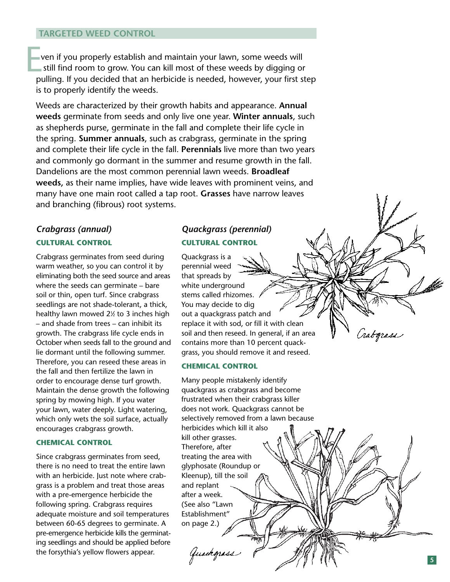#### **TARGETED WEED CONTROL**

ven if you properly establish and maintain your lawn, some weeds will still find room to grow. You can kill most of these weeds by digging or pulling. If you decided that an herbicide is needed, however, your first step is to properly identify the weeds.

Weeds are characterized by their growth habits and appearance. **Annual weeds** germinate from seeds and only live one year. **Winter annuals**, such as shepherds purse, germinate in the fall and complete their life cycle in the spring. **Summer annuals**, such as crabgrass, germinate in the spring and complete their life cycle in the fall. **Perennials** live more than two years and commonly go dormant in the summer and resume growth in the fall. Dandelions are the most common perennial lawn weeds. **Broadleaf weeds,** as their name implies, have wide leaves with prominent veins, and many have one main root called a tap root. **Grasses** have narrow leaves **Example 18 Solution** and many have one main root weeds. Weeds are characterized by their grow weeds are characterized by their grow weeds germinate from seeds and only as shepherds purse, germinate in the the spring. **Sum** 

## *Crabgrass (annual)* **CULTURAL CONTROL**

Crabgrass germinates from seed during warm weather, so you can control it by eliminating both the seed source and areas where the seeds can germinate – bare soil or thin, open turf. Since crabgrass seedlings are not shade-tolerant, a thick, healthy lawn mowed 2 1⁄2 to 3 inches high – and shade from trees – can inhibit its growth. The crabgrass life cycle ends in October when seeds fall to the ground and lie dormant until the following summer. Therefore, you can reseed these areas in the fall and then fertilize the lawn in order to encourage dense turf growth. Maintain the dense growth the following spring by mowing high. If you water your lawn, water deeply. Light watering, which only wets the soil surface, actually encourages crabgrass growth.

#### **CHEMICAL CONTROL**

Since crabgrass germinates from seed, there is no need to treat the entire lawn with an herbicide. Just note where crabgrass is a problem and treat those areas with a pre-emergence herbicide the following spring. Crabgrass requires adequate moisture and soil temperatures between 60-65 degrees to germinate. A pre-emergence herbicide kills the germinating seedlings and should be applied before the forsythia's yellow flowers appear.

## *Quackgrass (perennial)* **CULTURAL CONTROL**

Quackgrass is a perennial weed that spreads by white underground stems called rhizomes. You may decide to dig out a quackgrass patch and replace it with sod, or fill it with clean soil and then reseed. In general, if an area contains more than 10 percent quackgrass, you should remove it and reseed.

#### **CHEMICAL CONTROL**

Many people mistakenly identify quackgrass as crabgrass and become frustrated when their crabgrass killer does not work. Quackgrass cannot be selectively removed from a lawn because herbicides which kill it also kill other grasses. Therefore, after treating the area with glyphosate (Roundup or Kleenup), till the soil and replant after a week. (See also "Lawn Establishment" on page 2.) Guackgrass

Grabograsi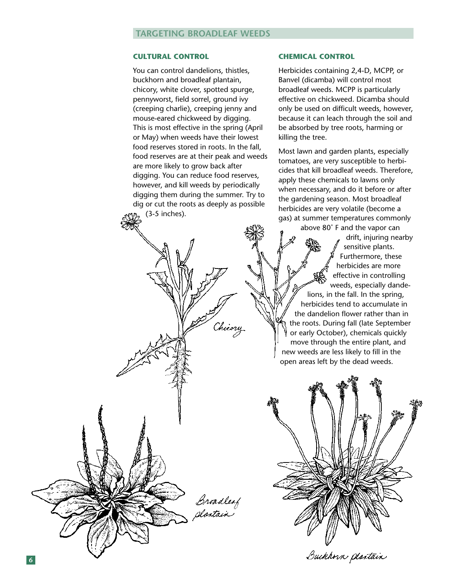#### **CULTURAL CONTROL**

You can control dandelions, thistles, buckhorn and broadleaf plantain, chicory, white clover, spotted spurge, pennyworst, field sorrel, ground ivy (creeping charlie), creeping jenny and mouse-eared chickweed by digging. This is most effective in the spring (April or May) when weeds have their lowest food reserves stored in roots. In the fall, food reserves are at their peak and weeds are more likely to grow back after digging. You can reduce food reserves, however, and kill weeds by periodically digging them during the summer. Try to dig or cut the roots as deeply as possible (3-5 inches).

Chicory

Broadleaf<br>plantain

#### **CHEMICAL CONTROL**

Herbicides containing 2,4-D, MCPP, or Banvel (dicamba) will control most broadleaf weeds. MCPP is particularly effective on chickweed. Dicamba should only be used on difficult weeds, however, because it can leach through the soil and be absorbed by tree roots, harming or killing the tree.

Most lawn and garden plants, especially tomatoes, are very susceptible to herbicides that kill broadleaf weeds. Therefore, apply these chemicals to lawns only when necessary, and do it before or after the gardening season. Most broadleaf herbicides are very volatile (become a gas) at summer temperatures commonly

above 80˚ F and the vapor can drift, injuring nearby sensitive plants. Furthermore, these herbicides are more effective in controlling weeds, especially dandelions, in the fall. In the spring, herbicides tend to accumulate in the dandelion flower rather than in the roots. During fall (late September or early October), chemicals quickly move through the entire plant, and new weeds are less likely to fill in the open areas left by the dead weeds.

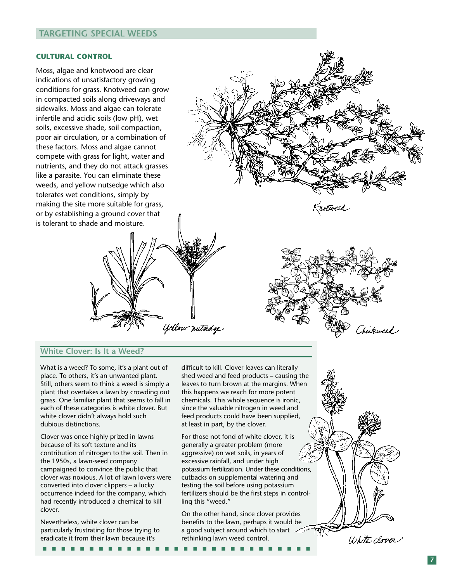#### **TARGETING SPECIAL WEEDS**

#### **CULTURAL CONTROL**

Moss, algae and knotwood are clear indications of unsatisfactory growing conditions for grass. Knotweed can grow in compacted soils along driveways and sidewalks. Moss and algae can tolerate infertile and acidic soils (low pH), wet soils, excessive shade, soil compaction, poor air circulation, or a combination of these factors. Moss and algae cannot compete with grass for light, water and nutrients, and they do not attack grasses like a parasite. You can eliminate these weeds, and yellow nutsedge which also tolerates wet conditions, simply by making the site more suitable for grass, or by establishing a ground cover that is tolerant to shade and moisture.

**White Clover: Is It a Weed?**

What is a weed? To some, it's a plant out of place. To others, it's an unwanted plant. Still, others seem to think a weed is simply a plant that overtakes a lawn by crowding out grass. One familiar plant that seems to fall in each of these categories is white clover. But white clover didn't always hold such dubious distinctions.

Clover was once highly prized in lawns because of its soft texture and its contribution of nitrogen to the soil. Then in the 1950s, a lawn-seed company campaigned to convince the public that clover was noxious. A lot of lawn lovers were converted into clover clippers – a lucky occurrence indeed for the company, which had recently introduced a chemical to kill clover.

Nevertheless, white clover can be particularly frustrating for those trying to eradicate it from their lawn because it's

■ ■ ■ ■ ■ ■ ■ ■ ■ ■ ■ ■ ■ ■ ■ ■ ■ ■ ■ ■ ■ ■ ■ ■ ■ ■ ■ ■ ■

difficult to kill. Clover leaves can literally shed weed and feed products – causing the leaves to turn brown at the margins. When this happens we reach for more potent chemicals. This whole sequence is ironic, since the valuable nitrogen in weed and feed products could have been supplied, at least in part, by the clover.

Yellow nutsedge

(notweed

Chickweed

White clover

For those not fond of white clover, it is generally a greater problem (more aggressive) on wet soils, in years of excessive rainfall, and under high potassium fertilization. Under these conditions, cutbacks on supplemental watering and testing the soil before using potassium fertilizers should be the first steps in controlling this "weed."

On the other hand, since clover provides benefits to the lawn, perhaps it would be a good subject around which to start  $\sim$ rethinking lawn weed control.